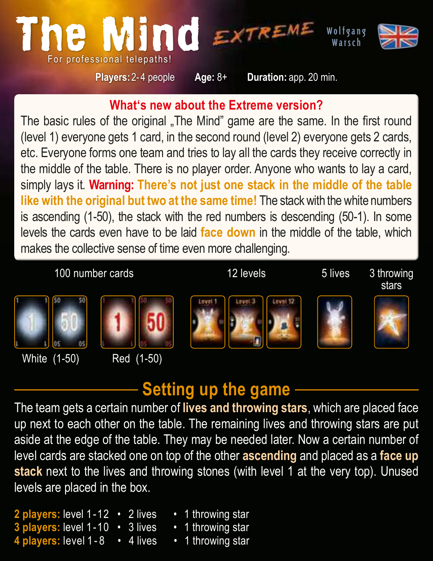

**What's new about the Extreme version?**

The basic rules of the original "The Mind" game are the same. In the first round (level 1) everyone gets 1 card, in the second round (level 2) everyone gets 2 cards, etc. Everyone forms one team and tries to lay all the cards they receive correctly in the middle of the table. There is no player order. Anyone who wants to lay a card, simply lays it. **Warning: There's not just one stack in the middle of the table like with the original but two at the same time!** The stack with the white numbers is ascending (1-50), the stack with the red numbers is descending (50-1). In some levels the cards even have to be laid **face down** in the middle of the table, which makes the collective sense of time even more challenging.

100 number cards 12 levels 5 lives 3 throwing

stars



White (1-50) Red (1-50)













## **Setting up the game**

The team gets a certain number of **lives and throwing stars**, which are placed face up next to each other on the table. The remaining lives and throwing stars are put aside at the edge of the table. They may be needed later. Now a certain number of level cards are stacked one on top of the other **ascending** and placed as a **face up stack** next to the lives and throwing stones (with level 1 at the very top). Unused levels are placed in the box.

**2 players:** level 1-12 • 2 lives • 1 throwing star **players:** level 1-10 • 3 lives **4 players:** level 1 - 8 • 4 lives • 1 throwing star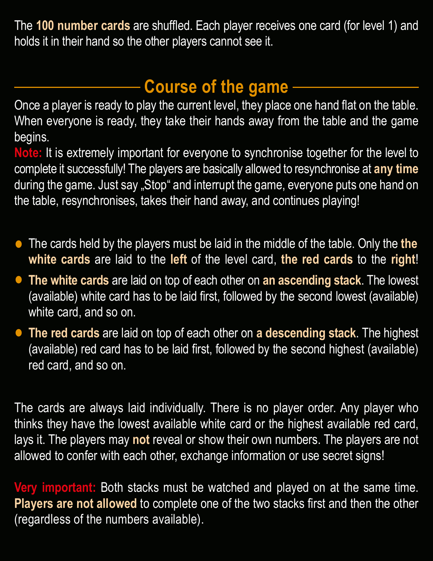The **100 number cards** are shuffled. Each player receives one card (for level 1) and holds it in their hand so the other players cannot see it.

# **Course of the game**

Once a player is ready to play the current level, they place one hand flat on the table. When everyone is ready, they take their hands away from the table and the game begins.

**Note:** It is extremely important for everyone to synchronise together for the level to complete it successfully! The players are basically allowed to resynchronise at **any time** during the game. Just say "Stop" and interrupt the game, everyone puts one hand on the table, resynchronises, takes their hand away, and continues playing!

- The cards held by the players must be laid in the middle of the table. Only the the **the final to** white cards are laid to the left of the level card, the red cards to the right!  **white cards** are laid to the **left** of the level card, **the red cards** to the **right**!
- **The white cards** are laid on top of each other on **an ascending stack**. The lowest (available) white card has to be laid first, followed by the second lowest (available) white card, and so on.
- **The red cards** are laid on top of each other on **a descending stack**. The highest (available) red card has to be laid first, followed by the second highest (available) red card, and so on.

The cards are always laid individually. There is no player order. Any player who thinks they have the lowest available white card or the highest available red card, lays it. The players may **not** reveal or show their own numbers. The players are not allowed to confer with each other, exchange information or use secret signs!

**Very important:** Both stacks must be watched and played on at the same time. **Players are not allowed** to complete one of the two stacks first and then the other (regardless of the numbers available).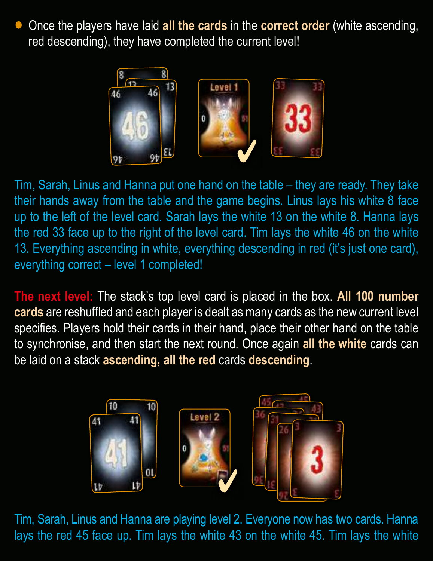• Once the players have laid all the cards in the **correct order** (white ascending, red descending), they have completed the current level! red descending), they have completed the current level!



Tim, Sarah, Linus and Hanna put one hand on the table – they are ready. They take their hands away from the table and the game begins. Linus lays his white 8 face up to the left of the level card. Sarah lays the white 13 on the white 8. Hanna lays the red 33 face up to the right of the level card. Tim lays the white 46 on the white 13. Everything ascending in white, everything descending in red (it's just one card), everything correct – level 1 completed!

**The next level:** The stack's top level card is placed in the box. **All 100 number cards** are reshuffled and each player is dealt as many cards as the new current level specifies. Players hold their cards in their hand, place their other hand on the table to synchronise, and then start the next round. Once again **all the white** cards can be laid on a stack **ascending, all the red** cards **descending**.



Tim, Sarah, Linus and Hanna are playing level 2. Everyone now has two cards. Hanna lays the red 45 face up. Tim lays the white 43 on the white 45. Tim lays the white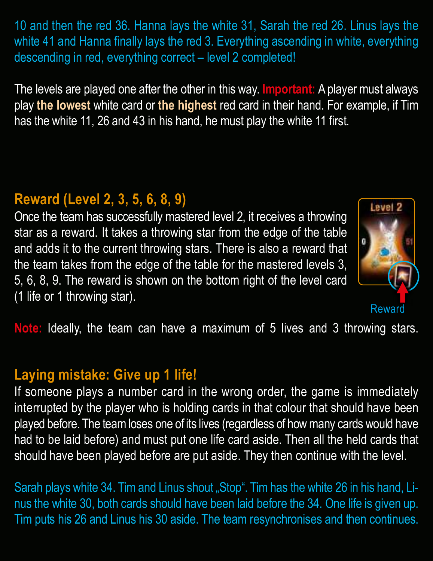10 and then the red 36. Hanna lays the white 31, Sarah the red 26. Linus lays the white 41 and Hanna finally lays the red 3. Everything ascending in white, everything descending in red, everything correct – level 2 completed!

The levels are played one after the other in this way. **Important:** A player must always play **the lowest** white card or **the highest** red card in their hand. For example, if Tim has the white 11, 26 and 43 in his hand, he must play the white 11 first.

### **Reward (Level 2, 3, 5, 6, 8, 9)**

Once the team has successfully mastered level 2, it receives a throwing star as a reward. It takes a throwing star from the edge of the table and adds it to the current throwing stars. There is also a reward that the team takes from the edge of the table for the mastered levels 3, 5, 6, 8, 9. The reward is shown on the bottom right of the level card (1 life or 1 throwing star).



**Note:** Ideally, the team can have a maximum of 5 lives and 3 throwing stars.

#### **Laying mistake: Give up 1 life!**

If someone plays a number card in the wrong order, the game is immediately interrupted by the player who is holding cards in that colour that should have been played before. The team loses one of its lives (regardless of how many cards would have had to be laid before) and must put one life card aside. Then all the held cards that should have been played before are put aside. They then continue with the level.

Sarah plays white 34. Tim and Linus shout "Stop". Tim has the white 26 in his hand, Linus the white 30, both cards should have been laid before the 34. One life is given up. Tim puts his 26 and Linus his 30 aside. The team resynchronises and then continues.